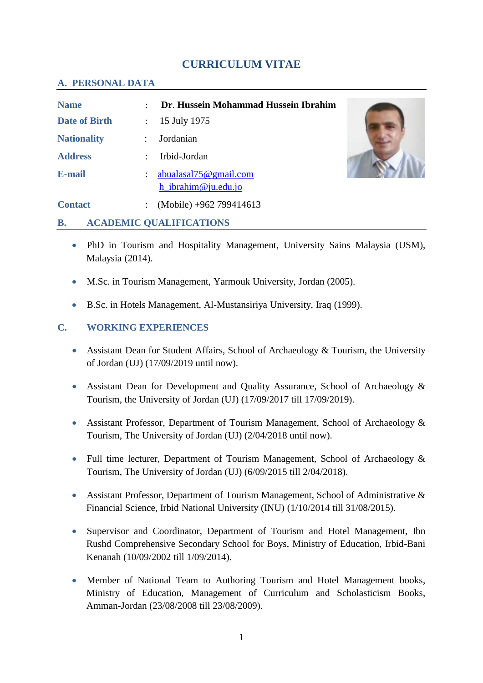# **CURRICULUM VITAE**

#### **A. PERSONAL DATA**

| <b>Name</b>          | ٠                    | Dr. Hussein Mohammad Hussein Ibrahim         |  |
|----------------------|----------------------|----------------------------------------------|--|
| <b>Date of Birth</b> | ÷                    | 15 July 1975                                 |  |
| <b>Nationality</b>   | $\ddot{\phantom{0}}$ | Jordanian                                    |  |
| <b>Address</b>       |                      | Irbid-Jordan                                 |  |
| <b>E-mail</b>        | $\ddot{\cdot}$       | abualasal75@gmail.com<br>h_ibrahim@ju.edu.jo |  |
| <b>Contact</b>       | $\ddot{\phantom{a}}$ | (Mobile) +962 799414613                      |  |

#### **B. ACADEMIC QUALIFICATIONS**

- PhD in Tourism and Hospitality Management, University Sains Malaysia (USM), Malaysia (2014).
- M.Sc. in Tourism Management, Yarmouk University, Jordan (2005).
- B.Sc. in Hotels Management, Al-Mustansiriya University, Iraq (1999).

## **C. WORKING EXPERIENCES**

- Assistant Dean for Student Affairs, School of Archaeology & Tourism, the University of Jordan (UJ) (17/09/2019 until now).
- Assistant Dean for Development and Quality Assurance, School of Archaeology & Tourism, the University of Jordan (UJ) (17/09/2017 till 17/09/2019).
- Assistant Professor, Department of Tourism Management, School of Archaeology & Tourism, The University of Jordan (UJ) (2/04/2018 until now).
- Full time lecturer, Department of Tourism Management, School of Archaeology & Tourism, The University of Jordan (UJ) (6/09/2015 till 2/04/2018).
- Assistant Professor, Department of Tourism Management, School of Administrative & Financial Science, Irbid National University (INU) (1/10/2014 till 31/08/2015).
- Supervisor and Coordinator, Department of Tourism and Hotel Management, Ibn Rushd Comprehensive Secondary School for Boys, Ministry of Education, Irbid-Bani Kenanah (10/09/2002 till 1/09/2014).
- Member of National Team to Authoring Tourism and Hotel Management books, Ministry of Education, Management of Curriculum and Scholasticism Books, Amman-Jordan (23/08/2008 till 23/08/2009).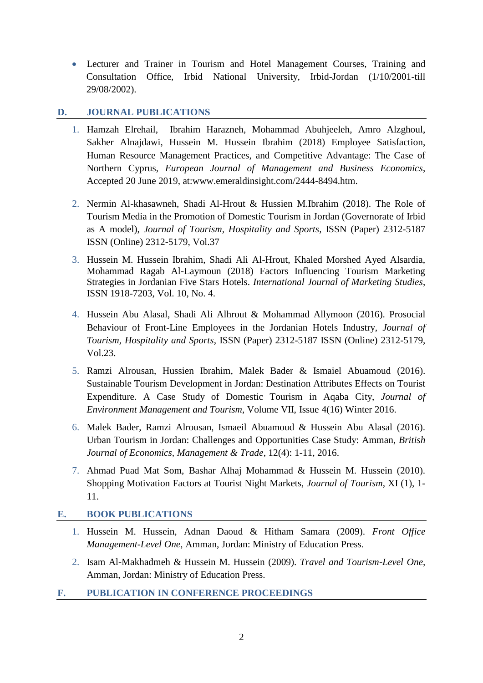Lecturer and Trainer in Tourism and Hotel Management Courses, Training and Consultation Office, Irbid National University, Irbid-Jordan (1/10/2001-till 29/08/2002).

## **D. JOURNAL PUBLICATIONS**

- 1. Hamzah Elrehail, Ibrahim Harazneh, Mohammad Abuhjeeleh, Amro Alzghoul, Sakher Alnajdawi, Hussein M. Hussein Ibrahim (2018) Employee Satisfaction, Human Resource Management Practices, and Competitive Advantage: The Case of Northern Cyprus, *European Journal of Management and Business Economics*, Accepted 20 June 2019, at:www.emeraldinsight.com/2444-8494.htm.
- 2. Nermin Al-khasawneh, Shadi Al-Hrout & Hussien M.Ibrahim (2018). The Role of Tourism Media in the Promotion of Domestic Tourism in Jordan (Governorate of Irbid as A model), *Journal of Tourism, Hospitality and Sports,* ISSN (Paper) 2312-5187 ISSN (Online) 2312-5179, Vol.37
- 3. Hussein M. Hussein Ibrahim, Shadi Ali Al-Hrout, Khaled Morshed Ayed Alsardia, Mohammad Ragab Al-Laymoun (2018) Factors Influencing Tourism Marketing Strategies in Jordanian Five Stars Hotels. *International Journal of Marketing Studies*, ISSN 1918-7203, Vol. 10, No. 4.
- 4. Hussein Abu Alasal, Shadi Ali Alhrout & Mohammad Allymoon (2016). Prosocial Behaviour of Front-Line Employees in the Jordanian Hotels Industry, *Journal of Tourism, Hospitality and Sports*, ISSN (Paper) 2312-5187 ISSN (Online) 2312-5179, Vol.23.
- 5. Ramzi Alrousan, Hussien Ibrahim, Malek Bader & Ismaiel Abuamoud (2016). Sustainable Tourism Development in Jordan: Destination Attributes Effects on Tourist Expenditure. A Case Study of Domestic Tourism in Aqaba City, *Journal of Environment Management and Tourism*, Volume VII, Issue 4(16) Winter 2016.
- 6. Malek Bader, Ramzi Alrousan, Ismaeil Abuamoud & Hussein Abu Alasal (2016). Urban Tourism in Jordan: Challenges and Opportunities Case Study: Amman, *British Journal of Economics, Management & Trade*, 12(4): 1-11, 2016.
- 7. Ahmad Puad Mat Som, Bashar Alhaj Mohammad & Hussein M. Hussein (2010). Shopping Motivation Factors at Tourist Night Markets, *Journal of Tourism*, XI (1), 1- 11.

# **E. BOOK PUBLICATIONS**

- 1. Hussein M. Hussein, Adnan Daoud & Hitham Samara (2009). *Front Office Management-Level One,* Amman, Jordan: Ministry of Education Press.
- 2. Isam Al-Makhadmeh & Hussein M. Hussein (2009). *Travel and Tourism-Level One,* Amman, Jordan: Ministry of Education Press.
- **F. PUBLICATION IN CONFERENCE PROCEEDINGS**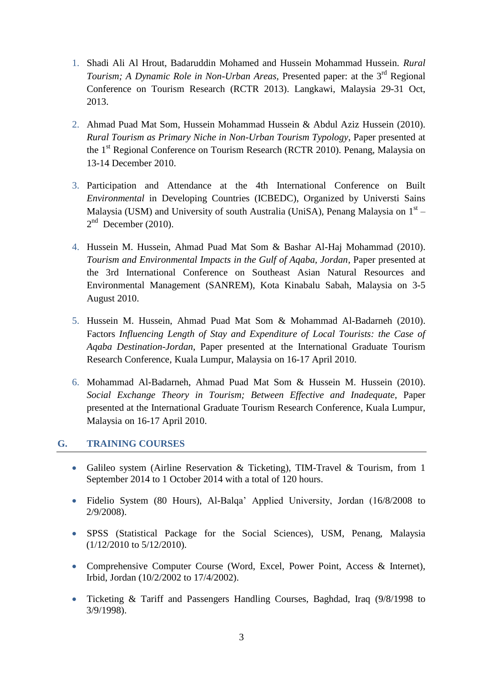- 1. Shadi Ali Al Hrout, Badaruddin Mohamed and Hussein Mohammad Hussein. *Rural*  Tourism; A Dynamic Role in Non-Urban Areas, Presented paper: at the 3<sup>rd</sup> Regional Conference on Tourism Research (RCTR 2013). Langkawi, Malaysia 29-31 Oct, 2013.
- 2. Ahmad Puad Mat Som, Hussein Mohammad Hussein & Abdul Aziz Hussein (2010). *Rural Tourism as Primary Niche in Non-Urban Tourism Typology*, Paper presented at the 1<sup>st</sup> Regional Conference on Tourism Research (RCTR 2010). Penang, Malaysia on 13-14 December 2010.
- 3. Participation and Attendance at the 4th International Conference on Built *Environmental* in Developing Countries (ICBEDC), Organized by Universti Sains Malaysia (USM) and University of south Australia (UniSA), Penang Malaysia on 1<sup>st</sup> - $2<sup>nd</sup>$  December (2010).
- 4. Hussein M. Hussein, Ahmad Puad Mat Som & Bashar Al-Haj Mohammad (2010). *Tourism and Environmental Impacts in the Gulf of Aqaba, Jordan*, Paper presented at the 3rd International Conference on Southeast Asian Natural Resources and Environmental Management (SANREM), Kota Kinabalu Sabah, Malaysia on 3-5 August 2010.
- 5. Hussein M. Hussein, Ahmad Puad Mat Som & Mohammad Al-Badarneh (2010). Factors *Influencing Length of Stay and Expenditure of Local Tourists: the Case of Aqaba Destination-Jordan*, Paper presented at the International Graduate Tourism Research Conference, Kuala Lumpur, Malaysia on 16-17 April 2010.
- 6. Mohammad Al-Badarneh, Ahmad Puad Mat Som & Hussein M. Hussein (2010). *Social Exchange Theory in Tourism; Between Effective and Inadequate*, Paper presented at the International Graduate Tourism Research Conference, Kuala Lumpur, Malaysia on 16-17 April 2010.

#### **G. TRAINING COURSES**

- Galileo system (Airline Reservation & Ticketing), TIM-Travel & Tourism, from 1 September 2014 to 1 October 2014 with a total of 120 hours.
- Fidelio System (80 Hours), Al-Balqa' Applied University, Jordan (16/8/2008 to 2/9/2008).
- SPSS (Statistical Package for the Social Sciences), USM, Penang, Malaysia (1/12/2010 to 5/12/2010).
- Comprehensive Computer Course (Word, Excel, Power Point, Access & Internet), Irbid, Jordan (10/2/2002 to 17/4/2002).
- Ticketing & Tariff and Passengers Handling Courses, Baghdad, Iraq (9/8/1998 to 3/9/1998).